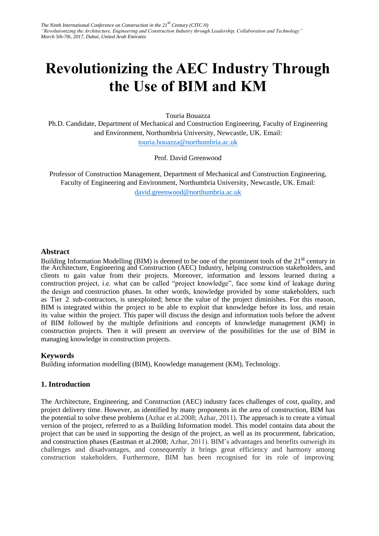# **Revolutionizing the AEC Industry Through the Use of BIM and KM**

Touria Bouazza

Ph.D. Candidate, Department of Mechanical and Construction Engineering, Faculty of Engineering and Environment, Northumbria University, Newcastle, UK. Email: touria.bouazza@northumbria.ac.uk

[Prof. David Greenwood](mailto:touria.bouazza@northumbria.ac.uk) 

Professor of Construction Management, Department of Mechanical and Construction Engineering, Faculty of Engineering and Environment, Northumbria University, Newcastle, UK. Email: david.greenwood@northumbria.ac.uk

## **Abstract**

Building Information Modelling (BIM) is deemed to be one of the prominent tools of the 21<sup>st</sup> century in the Architecture, Engineering and Construction (AEC) Industry, helping construction stakeholders, and clients to gain value from their projects. Moreover, information and lessons learned during a construction project, i.e. what can be called "project knowledge", face some kind of leakage during the design and construction phases. In other words, knowledge provided by some stakeholders, such as Tier 2 sub-contractors, is unexploited; hence the value of the project diminishes. For this reason, BIM is integrated within the project to be able to exploit that knowledge before its loss, and retain its value within the project. This paper will discuss the design and information tools before the advent of BIM followed by the multiple definitions and concepts of knowledge management (KM) in construction projects. Then it will present an overview of the possibilities for the use of BIM in managing knowledge in construction projects.

# **Keywords**

Building information modelling (BIM), Knowledge management (KM), Technology.

# **1. Introduction**

The Architecture, Engineering, and Construction (AEC) industry faces challenges of cost, quality, and project delivery time. However, as identified by many proponents in the area of construction, BIM has the potential to solve these problems (Azhar et al.2008; Azhar, 2011). The approach is to create a virtual version of the project, referred to as a Building Information model. This model contains data about the project that can be used in supporting the design of the project, as well as its procurement, fabrication, and construction phases (Eastman et al.2008; Azhar, 2011). BIM's advantages and benefits outweigh its challenges and disadvantages, and consequently it brings great efficiency and harmony among construction stakeholders. Furthermore, BIM has been recognised for its role of improving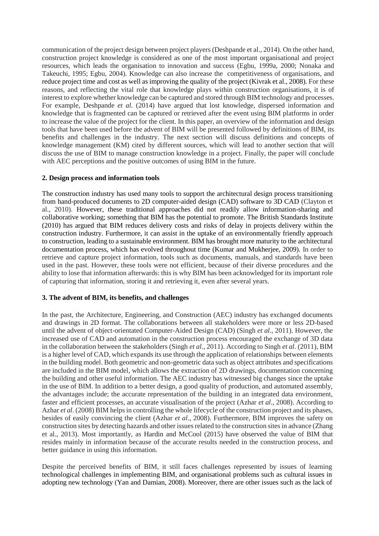communication of the project design between project players (Deshpande et al., 2014). On the other hand, construction project knowledge is considered as one of the most important organisational and project resources, which leads the organisation to innovation and success (Egbu, 1999a, 2000; Nonaka and Takeuchi, 1995; Egbu, 2004). Knowledge can also increase the competitiveness of organisations, and reduce project time and cost as well as improving the quality of the project (Kivrak et al., 2008). For these reasons, and reflecting the vital role that knowledge plays within construction organisations, it is of interest to explore whether knowledge can be captured and stored through BIM technology and processes. For example, Deshpande *et al.* (2014) have argued that lost knowledge, dispersed information and knowledge that is fragmented can be captured or retrieved after the event using BIM platforms in order to increase the value of the project for the client. In this paper, an overview of the information and design tools that have been used before the advent of BIM will be presented followed by definitions of BIM, its benefits and challenges in the industry. The next section will discuss definitions and concepts of knowledge management (KM) cited by different sources, which will lead to another section that will discuss the use of BIM to manage construction knowledge in a project. Finally, the paper will conclude with AEC perceptions and the positive outcomes of using BIM in the future.

## **2. Design process and information tools**

The construction industry has used many tools to support the architectural design process transitioning from hand-produced documents to 2D computer-aided design (CAD) software to 3D CAD (Clayton et al., 2010). However, these traditional approaches did not readily allow information-sharing and collaborative working; something that BIM has the potential to promote. The British Standards Institute (2010) has argued that BIM reduces delivery costs and risks of delay in projects delivery within the construction industry. Furthermore, it can assist in the uptake of an environmentally friendly approach to construction, leading to a sustainable environment. BIM has brought more maturity to the architectural documentation process, which has evolved throughout time (Kumar and Mukherjee, 2009). In order to retrieve and capture project information, tools such as documents, manuals, and standards have been used in the past. However, these tools were not efficient, because of their diverse procedures and the ability to lose that information afterwards: this is why BIM has been acknowledged for its important role of capturing that information, storing it and retrieving it, even after several years.

#### **3. The advent of BIM, its benefits, and challenges**

In the past, the Architecture, Engineering, and Construction (AEC) industry has exchanged documents and drawings in 2D format. The collaborations between all stakeholders were more or less 2D-based until the advent of object-orientated Computer-Aided Design (CAD) (Singh *et al.*, 2011). However, the increased use of CAD and automation in the construction process encouraged the exchange of 3D data in the collaboration between the stakeholders (Singh *et al.*, 2011). According to Singh *et al.* (2011), BIM is a higher level of CAD, which expands its use through the application of relationships between elements in the building model. Both geometric and non-geometric data such as object attributes and specifications are included in the BIM model, which allows the extraction of 2D drawings, documentation concerning the building and other useful information. The AEC industry has witnessed big changes since the uptake in the use of BIM. In addition to a better design, a good quality of production, and automated assembly, the advantages include; the accurate representation of the building in an integrated data environment, faster and efficient processes, an accurate visualisation of the project (Azhar *et al*., 2008). According to Azhar *et al*. (2008) BIM helps in controlling the whole lifecycle of the construction project and its phases, besides of easily convincing the client (Azhar *et al*., 2008). Furthermore, BIM improves the safety on construction sites by detecting hazards and other issues related to the construction sites in advance (Zhang et al., 2013). Most importantly, as Hardin and McCool (2015) have observed the value of BIM that resides mainly in information because of the accurate results needed in the construction process, and better guidance in using this information.

Despite the perceived benefits of BIM, it still faces challenges represented by issues of learning technological challenges in implementing BIM, and organisational problems such as cultural issues in adopting new technology (Yan and Damian, 2008). Moreover, there are other issues such as the lack of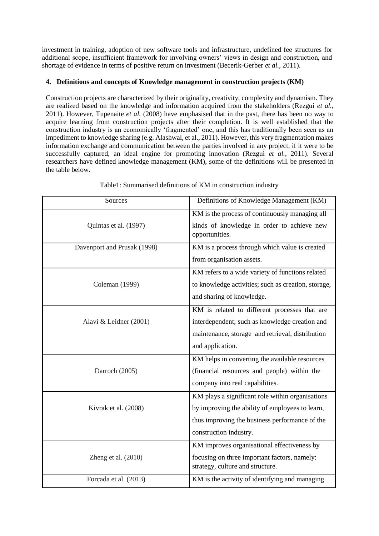investment in training, adoption of new software tools and infrastructure, undefined fee structures for additional scope, insufficient framework for involving owners' views in design and construction, and shortage of evidence in terms of positive return on investment (Becerik-Gerber *et al.*, 2011).

# **4. Definitions and concepts of Knowledge management in construction projects (KM)**

Construction projects are characterized by their originality, creativity, complexity and dynamism. They are realized based on the knowledge and information acquired from the stakeholders (Rezgui *et al.*, 2011). However, Tupenaite *et al.* (2008) have emphasised that in the past, there has been no way to acquire learning from construction projects after their completion. It is well established that the construction industry is an economically 'fragmented' one, and this has traditionally been seen as an impediment to knowledge sharing (e.g. Alashwal, et al., 2011). However, this very fragmentation makes information exchange and communication between the parties involved in any project, if it were to be successfully captured, an ideal engine for promoting innovation (Rezgui *et al.*, 2011). Several researchers have defined knowledge management (KM), some of the definitions will be presented in the table below.

| Sources                     | Definitions of Knowledge Management (KM)                                         |
|-----------------------------|----------------------------------------------------------------------------------|
|                             | KM is the process of continuously managing all                                   |
| Quintas et al. (1997)       | kinds of knowledge in order to achieve new<br>opportunities.                     |
| Davenport and Prusak (1998) | KM is a process through which value is created                                   |
|                             | from organisation assets.                                                        |
|                             | KM refers to a wide variety of functions related                                 |
| Coleman (1999)              | to knowledge activities; such as creation, storage,                              |
|                             | and sharing of knowledge.                                                        |
|                             | KM is related to different processes that are                                    |
| Alavi & Leidner (2001)      | interdependent; such as knowledge creation and                                   |
|                             | maintenance, storage and retrieval, distribution                                 |
|                             | and application.                                                                 |
|                             | KM helps in converting the available resources                                   |
| Darroch (2005)              | (financial resources and people) within the                                      |
|                             | company into real capabilities.                                                  |
|                             | KM plays a significant role within organisations                                 |
| Kivrak et al. (2008)        | by improving the ability of employees to learn,                                  |
|                             | thus improving the business performance of the                                   |
|                             | construction industry.                                                           |
|                             | KM improves organisational effectiveness by                                      |
| Zheng et al. $(2010)$       | focusing on three important factors, namely:<br>strategy, culture and structure. |
| Forcada et al. (2013)       | KM is the activity of identifying and managing                                   |

Table1: Summarised definitions of KM in construction industry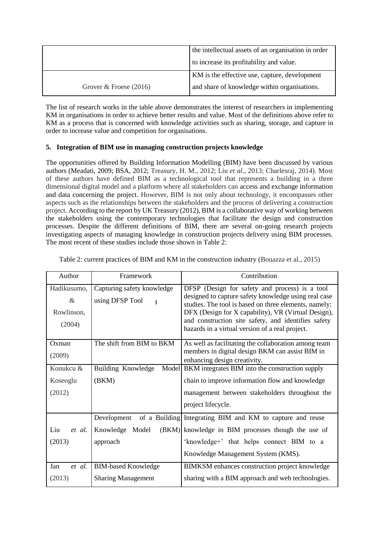|                          | the intellectual assets of an organisation in order |
|--------------------------|-----------------------------------------------------|
|                          | to increase its profitability and value.            |
|                          | KM is the effective use, capture, development       |
| Grover $&$ Froese (2016) | and share of knowledge within organisations.        |

The list of research works in the table above demonstrates the interest of researchers in implementing KM in organisations in order to achieve better results and value. Most of the definitions above refer to KM as a process that is concerned with knowledge activities such as sharing, storage, and capture in order to increase value and competition for organisations.

# **5. Integration of BIM use in managing construction projects knowledge**

The opportunities offered by Building Information Modelling (BIM) have been discussed by various authors (Meadati, 2009; BSA, 2012; Treasury, H. M., 2012; Liu *et al*., 2013; Charlesraj, 2014). Most of these authors have defined BIM as a technological tool that represents a building in a three dimensional digital model and a platform where all stakeholders can access and exchange information and data concerning the project. However, BIM is not only about technology, it encompasses other aspects such as the relationships between the stakeholders and the process of delivering a construction project. According to the report by UK Treasury (2012), BIM is a collaborative way of working between the stakeholders using the contemporary technologies that facilitate the design and construction processes. Despite the different definitions of BIM, there are several on-going research projects investigating aspects of managing knowledge in construction projects delivery using BIM processes. The most recent of these studies include those shown in Table 2:

| Author                                      | Framework                                     | Contribution                                                                                                                                                                                                                                                                                                                     |
|---------------------------------------------|-----------------------------------------------|----------------------------------------------------------------------------------------------------------------------------------------------------------------------------------------------------------------------------------------------------------------------------------------------------------------------------------|
| Hadikusumo,<br>$\&$<br>Rowlinson,<br>(2004) | Capturing safety knowledge<br>using DFSP Tool | DFSP (Design for safety and process) is a tool<br>designed to capture safety knowledge using real case<br>studies. The tool is based on three elements, namely:<br>DFX (Design for X capability), VR (Virtual Design),<br>and construction site safety, and identifies safety<br>hazards in a virtual version of a real project. |
| Oxman<br>(2009)                             | The shift from BIM to BKM                     | As well as facilitating the collaboration among team<br>members in digital design BKM can assist BIM in<br>enhancing design creativity.                                                                                                                                                                                          |
| Konukcu &                                   | Building Knowledge                            | Model BKM integrates BIM into the construction supply                                                                                                                                                                                                                                                                            |
| Koseoglu                                    | (BKM)                                         | chain to improve information flow and knowledge                                                                                                                                                                                                                                                                                  |
| (2012)                                      |                                               | management between stakeholders throughout the                                                                                                                                                                                                                                                                                   |
|                                             |                                               | project lifecycle.                                                                                                                                                                                                                                                                                                               |
|                                             |                                               | Development of a Building Integrating BIM and KM to capture and reuse                                                                                                                                                                                                                                                            |
| Liu<br>et al.                               | Knowledge Model                               | (BKM) knowledge in BIM processes though the use of                                                                                                                                                                                                                                                                               |
| (2013)                                      | approach                                      | 'knowledge+' that helps connect BIM to a                                                                                                                                                                                                                                                                                         |
|                                             |                                               | Knowledge Management System (KMS).                                                                                                                                                                                                                                                                                               |
| Jan<br>et al.                               | <b>BIM-based Knowledge</b>                    | BIMKSM enhances construction project knowledge                                                                                                                                                                                                                                                                                   |
| (2013)                                      | <b>Sharing Management</b>                     | sharing with a BIM approach and web technologies.                                                                                                                                                                                                                                                                                |

Table 2: current practices of BIM and KM in the construction industry (Bouazza et al., 2015)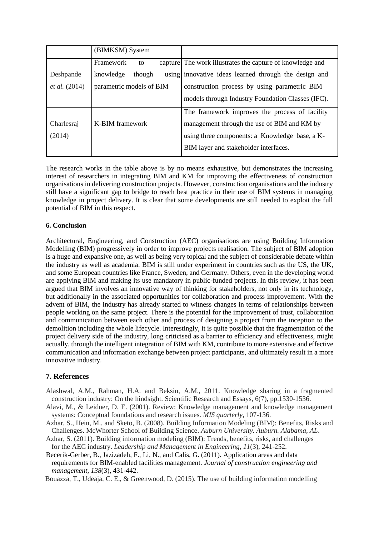|                      | (BIMKSM) System          |                                                                                                                                                 |
|----------------------|--------------------------|-------------------------------------------------------------------------------------------------------------------------------------------------|
|                      | Framework<br>to          | capture The work illustrates the capture of knowledge and                                                                                       |
| Deshpande            | knowledge<br>though      | using innovative ideas learned through the design and                                                                                           |
| <i>et al.</i> (2014) | parametric models of BIM | construction process by using parametric BIM                                                                                                    |
|                      |                          | models through Industry Foundation Classes (IFC).                                                                                               |
| Charlesraj<br>(2014) | K-BIM framework          | The framework improves the process of facility<br>management through the use of BIM and KM by<br>using three components: a Knowledge base, a K- |
|                      |                          | BIM layer and stakeholder interfaces.                                                                                                           |

The research works in the table above is by no means exhaustive, but demonstrates the increasing interest of researchers in integrating BIM and KM for improving the effectiveness of construction organisations in delivering construction projects. However, construction organisations and the industry still have a significant gap to bridge to reach best practice in their use of BIM systems in managing knowledge in project delivery. It is clear that some developments are still needed to exploit the full potential of BIM in this respect.

## **6. Conclusion**

Architectural, Engineering, and Construction (AEC) organisations are using Building Information Modelling (BIM) progressively in order to improve projects realisation. The subject of BIM adoption is a huge and expansive one, as well as being very topical and the subject of considerable debate within the industry as well as academia. BIM is still under experiment in countries such as the US, the UK, and some European countries like France, Sweden, and Germany. Others, even in the developing world are applying BIM and making its use mandatory in public-funded projects. In this review, it has been argued that BIM involves an innovative way of thinking for stakeholders, not only in its technology, but additionally in the associated opportunities for collaboration and process improvement. With the advent of BIM, the industry has already started to witness changes in terms of relationships between people working on the same project. There is the potential for the improvement of trust, collaboration and communication between each other and process of designing a project from the inception to the demolition including the whole lifecycle. Interestingly, it is quite possible that the fragmentation of the project delivery side of the industry, long criticised as a barrier to efficiency and effectiveness, might actually, through the intelligent integration of BIM with KM, contribute to more extensive and effective communication and information exchange between project participants, and ultimately result in a more innovative industry.

# **7. References**

- Alashwal, A.M., Rahman, H.A. and Beksin, A.M., 2011. Knowledge sharing in a fragmented construction industry: On the hindsight. Scientific Research and Essays, 6(7), pp.1530-1536.
- Alavi, M., & Leidner, D. E. (2001). Review: Knowledge management and knowledge management systems: Conceptual foundations and research issues. *MIS quarterly*, 107-136.
- Azhar, S., Hein, M., and Sketo, B. (2008). Building Information Modeling (BIM): Benefits, Risks and Challenges. McWhorter School of Building Science. *Auburn University. Auburn. Alabama, AL*.
- Azhar, S. (2011). Building information modeling (BIM): Trends, benefits, risks, and challenges for the AEC industry. *Leadership and Management in Engineering*, *11*(3), 241-252.
- Becerik-Gerber, B., Jazizadeh, F., Li, N., and Calis, G. (2011). Application areas and data requirements for BIM-enabled facilities management. *Journal of construction engineering and management*, *138*(3), 431-442.

Bouazza, T., Udeaja, C. E., & Greenwood, D. (2015). The use of building information modelling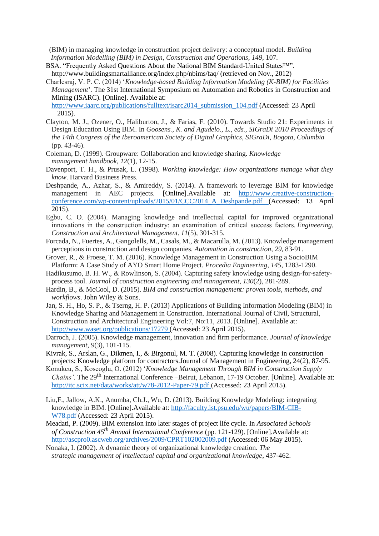(BIM) in managing knowledge in construction project delivery: a conceptual model. *Building Information Modelling (BIM) in Design, Construction and Operations*, *149*, 107.

- BSA. "Frequently Asked Questions About the National BIM Standard-United States™". http://www.buildingsmartalliance.org/index.php/nbims/faq/ (retrieved on Nov., 2012)
- Charlesraj, V. P. C. (2014) '*Knowledge-based Building Information Modeling (K-BIM) for Facilities Management*'. The 31st International Symposium on Automation and Robotics in Construction and Mining (ISARC). [Online]. Available at:

[http://www.iaarc.org/publications/fulltext/isarc2014\\_submission\\_104.pdf \(](http://www.iaarc.org/publications/fulltext/isarc2014_submission_104.pdf)Accessed: 23 April 2015).

- Clayton, M. J., Ozener, O., Haliburton, J., & Farias, F. (2010). Towards Studio 21: Experiments in Design Education Using BIM. In *Goosens., K. and Agudelo., L., eds., SIGraDi 2010 Proceedings of the 14th Congress of the Iberoamerican Society of Digital Graphics, SIGraDi, Bogota, Columbia* (pp. 43-46).
- Coleman, D. (1999). Groupware: Collaboration and knowledge sharing. *Knowledge management handbook*, *12*(1), 12-15.
- Davenport, T. H., & Prusak, L. (1998). *Working knowledge: How organizations manage what they know*. Harvard Business Press.
- Deshpande, A., Azhar, S., & Amireddy, S. (2014). A framework to leverage BIM for knowledge management in AEC projects. [Online].Available at: [http://www.creative-construction](http://www.creative-construction-conference.com/wp-content/uploads/2015/01/CCC2014_A_Deshpande.pdf)[conference.com/wp-content/uploads/2015/01/CCC2014\\_A\\_Deshpande.pdf \(](http://www.creative-construction-conference.com/wp-content/uploads/2015/01/CCC2014_A_Deshpande.pdf)Accessed: 13 April 2015).
- Egbu, C. O. (2004). Managing knowledge and intellectual capital for improved organizational innovations in the construction industry: an examination of critical success factors. *Engineering, Construction and Architectural Management*, *11*(5), 301-315.
- Forcada, N., Fuertes, A., Gangolells, M., Casals, M., & Macarulla, M. (2013). Knowledge management perceptions in construction and design companies. *Automation in construction*, *29*, 83-91.
- Grover, R., & Froese, T. M. (2016). Knowledge Management in Construction Using a SocioBIM Platform: A Case Study of AYO Smart Home Project. *Procedia Engineering*, *145*, 1283-1290.
- Hadikusumo, B. H. W., & Rowlinson, S. (2004). Capturing safety knowledge using design-for-safetyprocess tool. *Journal of construction engineering and management*, *130*(2), 281-289.
- Hardin, B., & McCool, D. (2015). *BIM and construction management: proven tools, methods, and workflows*. John Wiley & Sons.
- Jan, S. H., Ho, S. P., & Tserng, H. P. (2013) Applications of Building Information Modeling (BIM) in Knowledge Sharing and Management in Construction. International Journal of Civil, Structural, Construction and Architectural Engineering Vol:7, No:11, 2013. [Online]. Available at: [http://www.waset.org/publications/17279 \(](http://www.waset.org/publications/17279)Accessed: 23 April 2015).
- Darroch, J. (2005). Knowledge management, innovation and firm performance. *Journal of knowledge management*, *9*(3), 101-115.
- Kivrak, S., Arslan, G., Dikmen, I., & Birgonul, M. T. (2008). Capturing knowledge in construction projects: Knowledge platform for contractors.Journal of Management in Engineering, 24(2), 87-95.
- Konukcu, S., Koseoglu, O. (2012) '*Knowledge Management Through BIM in Construction Supply Chains'*. The 29<sup>th</sup> International Conference –Beirut, Lebanon, 17-19 October. [Online]. Available at: [http://itc.scix.net/data/works/att/w78-2012-Paper-79.pdf \(](http://itc.scix.net/data/works/att/w78-2012-Paper-79.pdf)Accessed: 23 April 2015).
- Liu,F., Jallow, A.K., Anumba, Ch.J., Wu, D. (2013). Building Knowledge Modeling: integrating knowledge in BIM. [Online].Available at: [http://faculty.ist.psu.edu/wu/papers/BIM-CIB-](http://faculty.ist.psu.edu/wu/papers/BIM-CIB-W78.pdf)[W78.pdf](http://faculty.ist.psu.edu/wu/papers/BIM-CIB-W78.pdf) (Accessed: 23 April 2015).
- Meadati, P. (2009). BIM extension into later stages of project life cycle. In *Associated Schools of Construction 45th Annual International Conference* (pp. 121-129). [Online].Available at: [http://ascpro0.ascweb.org/archives/2009/CPRT102002009.pdf \(](http://ascpro0.ascweb.org/archives/2009/CPRT102002009.pdf)Accessed: 06 May 2015).
- Nonaka, I. (2002). A dynamic theory of organizational knowledge creation. *The strategic management of intellectual capital and organizational knowledge*, 437-462.